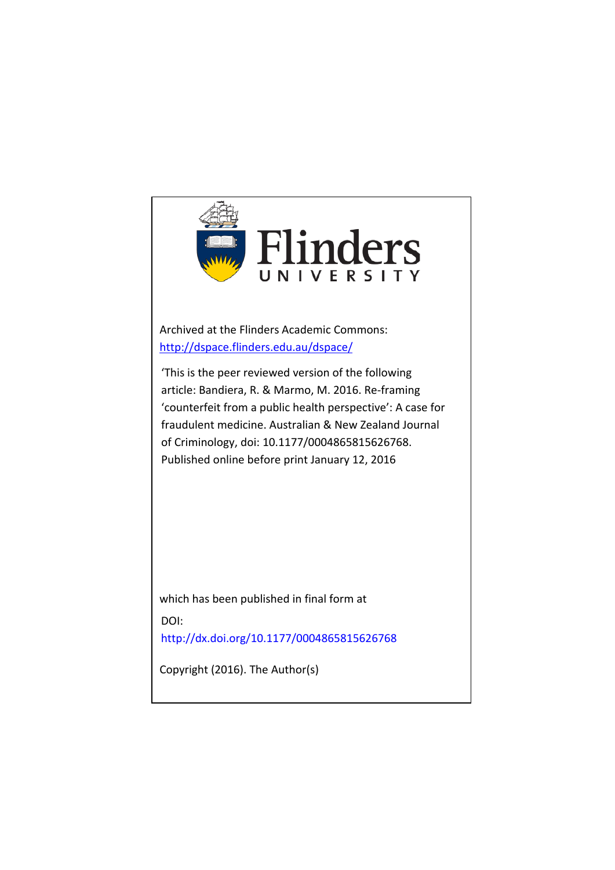

Archived at the Flinders Academic Commons: <http://dspace.flinders.edu.au/dspace/>

'This is the peer reviewed version of the following article: Bandiera, R. & Marmo, M. 2016. Re-framing 'counterfeit from a public health perspective': A case for fraudulent medicine. Australian & New Zealand Journal of Criminology, doi: 10.1177/0004865815626768. Published online before print January 12, 2016

which has been published in final form at DOI:

http://dx.doi.org/10.1177/0004865815626768

Copyright (2016). The Author(s)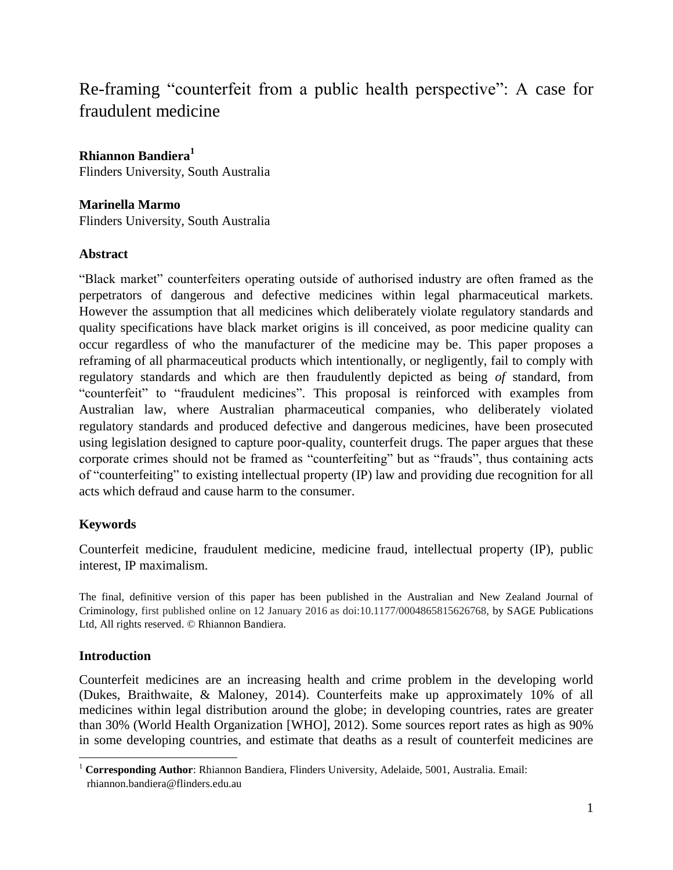# Re-framing "counterfeit from a public health perspective": A case for fraudulent medicine

**Rhiannon Bandiera<sup>1</sup>** Flinders University, South Australia

**Marinella Marmo**  Flinders University, South Australia

## **Abstract**

"Black market" counterfeiters operating outside of authorised industry are often framed as the perpetrators of dangerous and defective medicines within legal pharmaceutical markets. However the assumption that all medicines which deliberately violate regulatory standards and quality specifications have black market origins is ill conceived, as poor medicine quality can occur regardless of who the manufacturer of the medicine may be. This paper proposes a reframing of all pharmaceutical products which intentionally, or negligently, fail to comply with regulatory standards and which are then fraudulently depicted as being *of* standard, from "counterfeit" to "fraudulent medicines". This proposal is reinforced with examples from Australian law, where Australian pharmaceutical companies, who deliberately violated regulatory standards and produced defective and dangerous medicines, have been prosecuted using legislation designed to capture poor-quality, counterfeit drugs. The paper argues that these corporate crimes should not be framed as "counterfeiting" but as "frauds", thus containing acts of "counterfeiting" to existing intellectual property (IP) law and providing due recognition for all acts which defraud and cause harm to the consumer.

## **Keywords**

Counterfeit medicine, fraudulent medicine, medicine fraud, intellectual property (IP), public interest, IP maximalism.

The final, definitive version of this paper has been published in the Australian and New Zealand Journal of Criminology, first published online on 12 January 2016 as doi:10.1177/0004865815626768, by SAGE Publications Ltd, All rights reserved. © Rhiannon Bandiera.

## **Introduction**

Counterfeit medicines are an increasing health and crime problem in the developing world (Dukes, Braithwaite, & Maloney, 2014). Counterfeits make up approximately 10% of all medicines within legal distribution around the globe; in developing countries, rates are greater than 30% (World Health Organization [WHO], 2012). Some sources report rates as high as 90% in some developing countries, and estimate that deaths as a result of counterfeit medicines are

<sup>1</sup> **Corresponding Author**: Rhiannon Bandiera, Flinders University, Adelaide, 5001, Australia. Email: rhiannon.bandiera@flinders.edu.au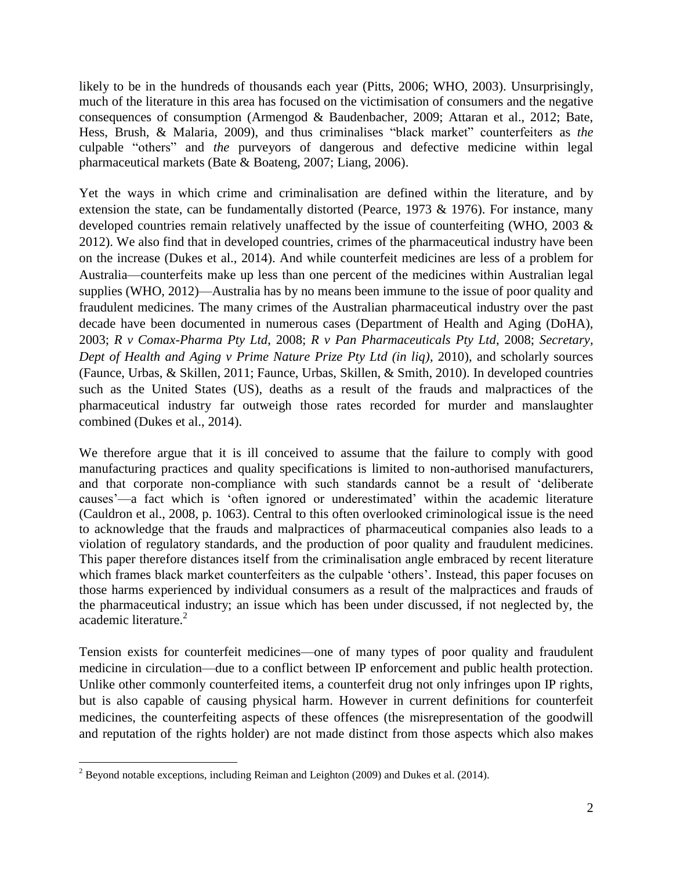likely to be in the hundreds of thousands each year (Pitts, 2006; WHO, 2003). Unsurprisingly, much of the literature in this area has focused on the victimisation of consumers and the negative consequences of consumption (Armengod & Baudenbacher, 2009; Attaran et al., 2012; Bate, Hess, Brush, & Malaria, 2009), and thus criminalises "black market" counterfeiters as *the* culpable "others" and *the* purveyors of dangerous and defective medicine within legal pharmaceutical markets (Bate & Boateng, 2007; Liang, 2006).

Yet the ways in which crime and criminalisation are defined within the literature, and by extension the state, can be fundamentally distorted (Pearce, 1973 & 1976). For instance, many developed countries remain relatively unaffected by the issue of counterfeiting (WHO, 2003 & 2012). We also find that in developed countries, crimes of the pharmaceutical industry have been on the increase (Dukes et al., 2014). And while counterfeit medicines are less of a problem for Australia—counterfeits make up less than one percent of the medicines within Australian legal supplies (WHO, 2012)—Australia has by no means been immune to the issue of poor quality and fraudulent medicines. The many crimes of the Australian pharmaceutical industry over the past decade have been documented in numerous cases (Department of Health and Aging (DoHA), 2003; *R v Comax-Pharma Pty Ltd*, 2008; *R v Pan Pharmaceuticals Pty Ltd*, 2008; *Secretary, Dept of Health and Aging v Prime Nature Prize Pty Ltd (in liq)*, 2010), and scholarly sources (Faunce, Urbas, & Skillen, 2011; Faunce, Urbas, Skillen, & Smith, 2010). In developed countries such as the United States (US), deaths as a result of the frauds and malpractices of the pharmaceutical industry far outweigh those rates recorded for murder and manslaughter combined (Dukes et al., 2014).

We therefore argue that it is ill conceived to assume that the failure to comply with good manufacturing practices and quality specifications is limited to non-authorised manufacturers, and that corporate non-compliance with such standards cannot be a result of 'deliberate causes'—a fact which is 'often ignored or underestimated' within the academic literature (Cauldron et al., 2008, p. 1063). Central to this often overlooked criminological issue is the need to acknowledge that the frauds and malpractices of pharmaceutical companies also leads to a violation of regulatory standards, and the production of poor quality and fraudulent medicines. This paper therefore distances itself from the criminalisation angle embraced by recent literature which frames black market counterfeiters as the culpable 'others'. Instead, this paper focuses on those harms experienced by individual consumers as a result of the malpractices and frauds of the pharmaceutical industry; an issue which has been under discussed, if not neglected by, the academic literature. 2

Tension exists for counterfeit medicines—one of many types of poor quality and fraudulent medicine in circulation—due to a conflict between IP enforcement and public health protection. Unlike other commonly counterfeited items, a counterfeit drug not only infringes upon IP rights, but is also capable of causing physical harm. However in current definitions for counterfeit medicines, the counterfeiting aspects of these offences (the misrepresentation of the goodwill and reputation of the rights holder) are not made distinct from those aspects which also makes

 $2^{2}$  Beyond notable exceptions, including Reiman and Leighton (2009) and Dukes et al. (2014).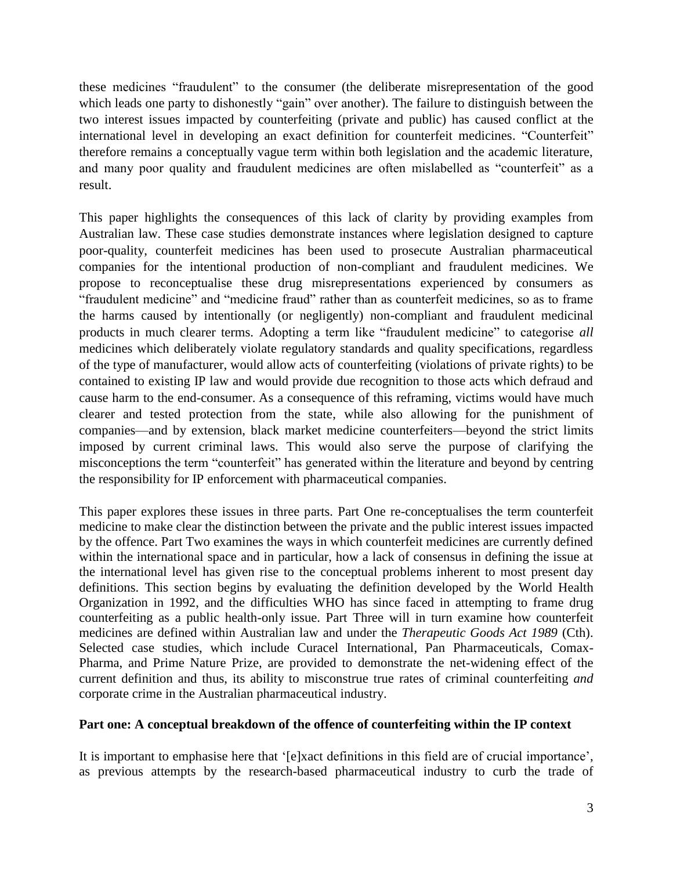these medicines "fraudulent" to the consumer (the deliberate misrepresentation of the good which leads one party to dishonestly "gain" over another). The failure to distinguish between the two interest issues impacted by counterfeiting (private and public) has caused conflict at the international level in developing an exact definition for counterfeit medicines. "Counterfeit" therefore remains a conceptually vague term within both legislation and the academic literature, and many poor quality and fraudulent medicines are often mislabelled as "counterfeit" as a result.

This paper highlights the consequences of this lack of clarity by providing examples from Australian law. These case studies demonstrate instances where legislation designed to capture poor-quality, counterfeit medicines has been used to prosecute Australian pharmaceutical companies for the intentional production of non-compliant and fraudulent medicines. We propose to reconceptualise these drug misrepresentations experienced by consumers as "fraudulent medicine" and "medicine fraud" rather than as counterfeit medicines, so as to frame the harms caused by intentionally (or negligently) non-compliant and fraudulent medicinal products in much clearer terms. Adopting a term like "fraudulent medicine" to categorise *all* medicines which deliberately violate regulatory standards and quality specifications, regardless of the type of manufacturer, would allow acts of counterfeiting (violations of private rights) to be contained to existing IP law and would provide due recognition to those acts which defraud and cause harm to the end-consumer. As a consequence of this reframing, victims would have much clearer and tested protection from the state, while also allowing for the punishment of companies—and by extension, black market medicine counterfeiters—beyond the strict limits imposed by current criminal laws. This would also serve the purpose of clarifying the misconceptions the term "counterfeit" has generated within the literature and beyond by centring the responsibility for IP enforcement with pharmaceutical companies.

This paper explores these issues in three parts. Part One re-conceptualises the term counterfeit medicine to make clear the distinction between the private and the public interest issues impacted by the offence. Part Two examines the ways in which counterfeit medicines are currently defined within the international space and in particular, how a lack of consensus in defining the issue at the international level has given rise to the conceptual problems inherent to most present day definitions. This section begins by evaluating the definition developed by the World Health Organization in 1992, and the difficulties WHO has since faced in attempting to frame drug counterfeiting as a public health-only issue. Part Three will in turn examine how counterfeit medicines are defined within Australian law and under the *Therapeutic Goods Act 1989* (Cth). Selected case studies, which include Curacel International, Pan Pharmaceuticals, Comax-Pharma, and Prime Nature Prize, are provided to demonstrate the net-widening effect of the current definition and thus, its ability to misconstrue true rates of criminal counterfeiting *and* corporate crime in the Australian pharmaceutical industry.

#### **Part one: A conceptual breakdown of the offence of counterfeiting within the IP context**

It is important to emphasise here that '[e]xact definitions in this field are of crucial importance', as previous attempts by the research-based pharmaceutical industry to curb the trade of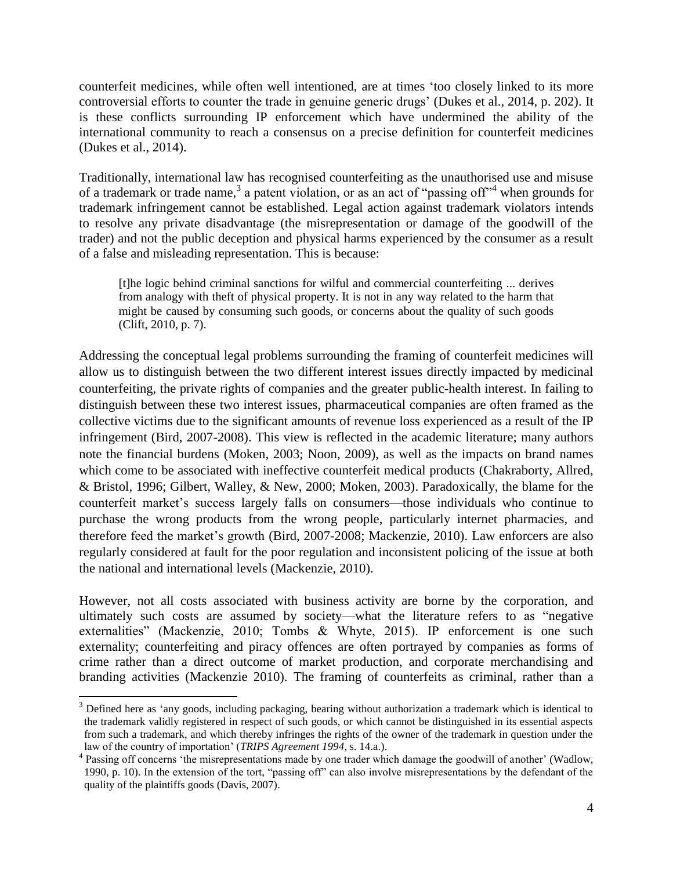counterfeit medicines, while often well intentioned, are at times 'too closely linked to its more controversial efforts to counter the trade in genuine generic drugs' (Dukes et al., 2014, p. 202). It is these conflicts surrounding IP enforcement which have undermined the ability of the international community to reach a consensus on a precise definition for counterfeit medicines (Dukes et al., 2014).

Traditionally, international law has recognised counterfeiting as the unauthorised use and misuse of a trademark or trade name,<sup>3</sup> a patent violation, or as an act of "passing off"<sup>4</sup> when grounds for trademark infringement cannot be established. Legal action against trademark violators intends to resolve any private disadvantage (the misrepresentation or damage of the goodwill of the trader) and not the public deception and physical harms experienced by the consumer as a result of a false and misleading representation. This is because:

[t]he logic behind criminal sanctions for wilful and commercial counterfeiting ... derives from analogy with theft of physical property. It is not in any way related to the harm that might be caused by consuming such goods, or concerns about the quality of such goods (Clift, 2010, p. 7).

Addressing the conceptual legal problems surrounding the framing of counterfeit medicines will allow us to distinguish between the two different interest issues directly impacted by medicinal counterfeiting, the private rights of companies and the greater public-health interest. In failing to distinguish between these two interest issues, pharmaceutical companies are often framed as the collective victims due to the significant amounts of revenue loss experienced as a result of the IP infringement (Bird, 2007-2008). This view is reflected in the academic literature; many authors note the financial burdens (Moken, 2003; Noon, 2009), as well as the impacts on brand names which come to be associated with ineffective counterfeit medical products (Chakraborty, Allred, & Bristol, 1996; Gilbert, Walley, & New, 2000; Moken, 2003). Paradoxically, the blame for the counterfeit market's success largely falls on consumers—those individuals who continue to purchase the wrong products from the wrong people, particularly internet pharmacies, and therefore feed the market's growth (Bird, 2007-2008; Mackenzie, 2010). Law enforcers are also regularly considered at fault for the poor regulation and inconsistent policing of the issue at both the national and international levels (Mackenzie, 2010).

However, not all costs associated with business activity are borne by the corporation, and ultimately such costs are assumed by society—what the literature refers to as "negative externalities" (Mackenzie, 2010; Tombs & Whyte, 2015). IP enforcement is one such externality; counterfeiting and piracy offences are often portrayed by companies as forms of crime rather than a direct outcome of market production, and corporate merchandising and branding activities (Mackenzie 2010). The framing of counterfeits as criminal, rather than a

<sup>&</sup>lt;sup>3</sup> Defined here as 'any goods, including packaging, bearing without authorization a trademark which is identical to the trademark validly registered in respect of such goods, or which cannot be distinguished in its essential aspects from such a trademark, and which thereby infringes the rights of the owner of the trademark in question under the law of the country of importation' (*TRIPS Agreement 1994*, s. 14.a.).

<sup>&</sup>lt;sup>4</sup> Passing off concerns 'the misrepresentations made by one trader which damage the goodwill of another' (Wadlow, 1990, p. 10). In the extension of the tort, "passing off" can also involve misrepresentations by the defendant of the quality of the plaintiffs goods (Davis, 2007).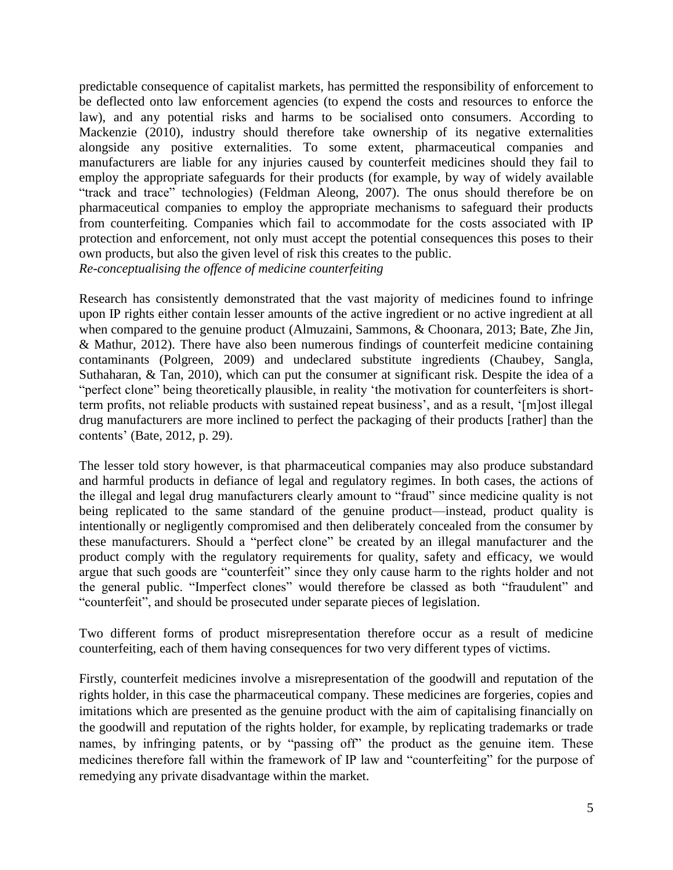predictable consequence of capitalist markets, has permitted the responsibility of enforcement to be deflected onto law enforcement agencies (to expend the costs and resources to enforce the law), and any potential risks and harms to be socialised onto consumers. According to Mackenzie (2010), industry should therefore take ownership of its negative externalities alongside any positive externalities. To some extent, pharmaceutical companies and manufacturers are liable for any injuries caused by counterfeit medicines should they fail to employ the appropriate safeguards for their products (for example, by way of widely available "track and trace" technologies) (Feldman Aleong, 2007). The onus should therefore be on pharmaceutical companies to employ the appropriate mechanisms to safeguard their products from counterfeiting. Companies which fail to accommodate for the costs associated with IP protection and enforcement, not only must accept the potential consequences this poses to their own products, but also the given level of risk this creates to the public. *Re-conceptualising the offence of medicine counterfeiting*

Research has consistently demonstrated that the vast majority of medicines found to infringe upon IP rights either contain lesser amounts of the active ingredient or no active ingredient at all when compared to the genuine product (Almuzaini, Sammons, & Choonara, 2013; Bate, Zhe Jin, & Mathur, 2012). There have also been numerous findings of counterfeit medicine containing contaminants (Polgreen, 2009) and undeclared substitute ingredients (Chaubey, Sangla, Suthaharan, & Tan, 2010), which can put the consumer at significant risk. Despite the idea of a "perfect clone" being theoretically plausible, in reality 'the motivation for counterfeiters is shortterm profits, not reliable products with sustained repeat business', and as a result, '[m]ost illegal drug manufacturers are more inclined to perfect the packaging of their products [rather] than the contents' (Bate, 2012, p. 29).

The lesser told story however, is that pharmaceutical companies may also produce substandard and harmful products in defiance of legal and regulatory regimes. In both cases, the actions of the illegal and legal drug manufacturers clearly amount to "fraud" since medicine quality is not being replicated to the same standard of the genuine product—instead, product quality is intentionally or negligently compromised and then deliberately concealed from the consumer by these manufacturers. Should a "perfect clone" be created by an illegal manufacturer and the product comply with the regulatory requirements for quality, safety and efficacy, we would argue that such goods are "counterfeit" since they only cause harm to the rights holder and not the general public. "Imperfect clones" would therefore be classed as both "fraudulent" and "counterfeit", and should be prosecuted under separate pieces of legislation.

Two different forms of product misrepresentation therefore occur as a result of medicine counterfeiting, each of them having consequences for two very different types of victims.

Firstly, counterfeit medicines involve a misrepresentation of the goodwill and reputation of the rights holder, in this case the pharmaceutical company. These medicines are forgeries, copies and imitations which are presented as the genuine product with the aim of capitalising financially on the goodwill and reputation of the rights holder, for example, by replicating trademarks or trade names, by infringing patents, or by "passing off" the product as the genuine item. These medicines therefore fall within the framework of IP law and "counterfeiting" for the purpose of remedying any private disadvantage within the market.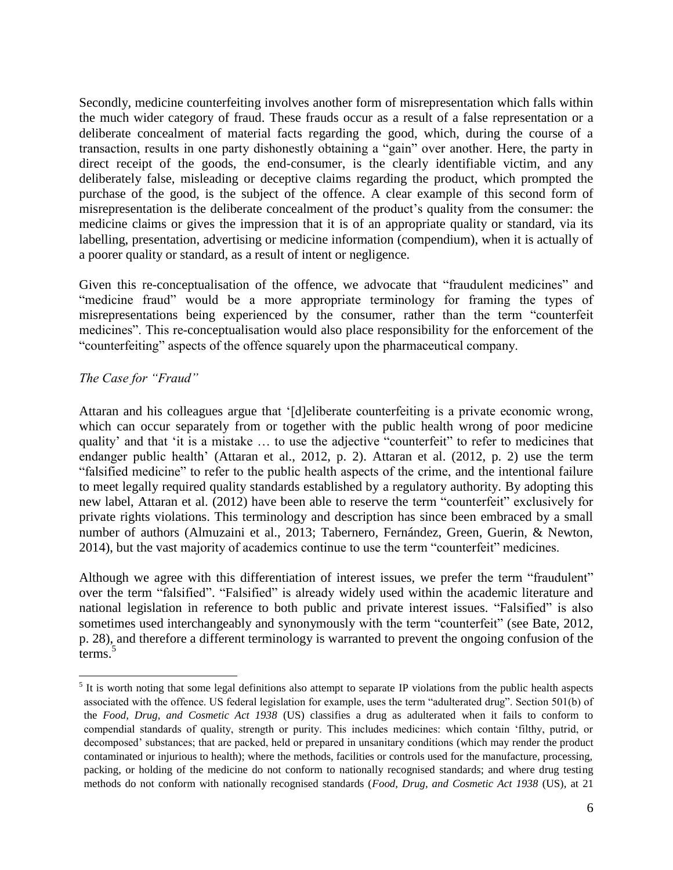Secondly, medicine counterfeiting involves another form of misrepresentation which falls within the much wider category of fraud. These frauds occur as a result of a false representation or a deliberate concealment of material facts regarding the good, which, during the course of a transaction, results in one party dishonestly obtaining a "gain" over another. Here, the party in direct receipt of the goods, the end-consumer, is the clearly identifiable victim, and any deliberately false, misleading or deceptive claims regarding the product, which prompted the purchase of the good, is the subject of the offence. A clear example of this second form of misrepresentation is the deliberate concealment of the product's quality from the consumer: the medicine claims or gives the impression that it is of an appropriate quality or standard, via its labelling, presentation, advertising or medicine information (compendium), when it is actually of a poorer quality or standard, as a result of intent or negligence.

Given this re-conceptualisation of the offence, we advocate that "fraudulent medicines" and "medicine fraud" would be a more appropriate terminology for framing the types of misrepresentations being experienced by the consumer, rather than the term "counterfeit medicines". This re-conceptualisation would also place responsibility for the enforcement of the "counterfeiting" aspects of the offence squarely upon the pharmaceutical company.

## *The Case for "Fraud"*

 $\overline{\phantom{a}}$ 

Attaran and his colleagues argue that '[d]eliberate counterfeiting is a private economic wrong, which can occur separately from or together with the public health wrong of poor medicine quality' and that 'it is a mistake … to use the adjective "counterfeit" to refer to medicines that endanger public health' (Attaran et al., 2012, p. 2). Attaran et al. (2012, p. 2) use the term "falsified medicine" to refer to the public health aspects of the crime, and the intentional failure to meet legally required quality standards established by a regulatory authority. By adopting this new label, Attaran et al. (2012) have been able to reserve the term "counterfeit" exclusively for private rights violations. This terminology and description has since been embraced by a small number of authors (Almuzaini et al., 2013; Tabernero, Fernández, Green, Guerin, & Newton, 2014), but the vast majority of academics continue to use the term "counterfeit" medicines.

Although we agree with this differentiation of interest issues, we prefer the term "fraudulent" over the term "falsified". "Falsified" is already widely used within the academic literature and national legislation in reference to both public and private interest issues. "Falsified" is also sometimes used interchangeably and synonymously with the term "counterfeit" (see Bate, 2012, p. 28), and therefore a different terminology is warranted to prevent the ongoing confusion of the terms. 5

 $<sup>5</sup>$  It is worth noting that some legal definitions also attempt to separate IP violations from the public health aspects</sup> associated with the offence. US federal legislation for example, uses the term "adulterated drug". Section 501(b) of the *Food, Drug, and Cosmetic Act 1938* (US) classifies a drug as adulterated when it fails to conform to compendial standards of quality, strength or purity. This includes medicines: which contain 'filthy, putrid, or decomposed' substances; that are packed, held or prepared in unsanitary conditions (which may render the product contaminated or injurious to health); where the methods, facilities or controls used for the manufacture, processing, packing, or holding of the medicine do not conform to nationally recognised standards; and where drug testing methods do not conform with nationally recognised standards (*Food, Drug, and Cosmetic Act 1938* (US)*,* at 21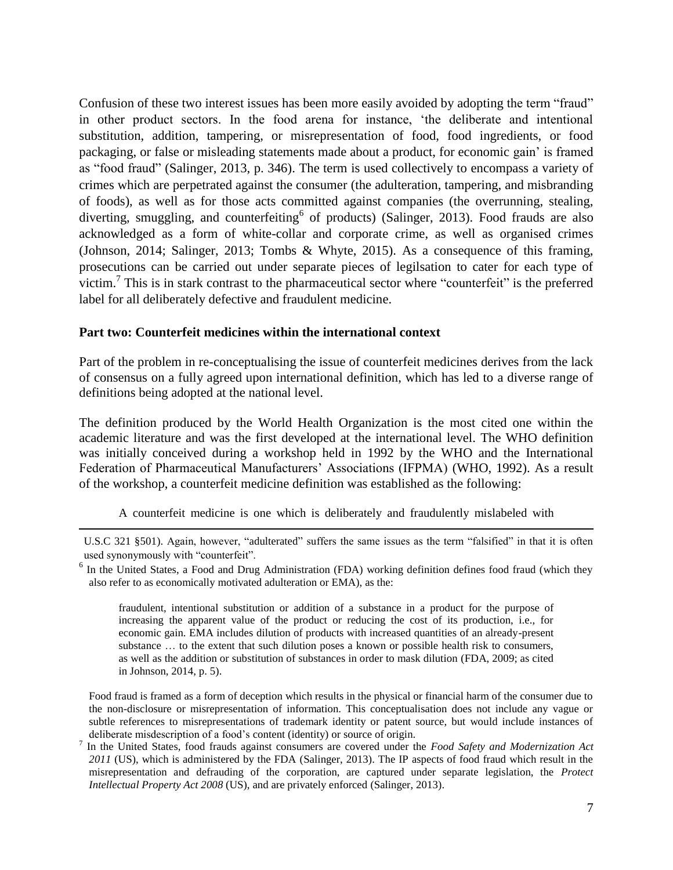Confusion of these two interest issues has been more easily avoided by adopting the term "fraud" in other product sectors. In the food arena for instance, 'the deliberate and intentional substitution, addition, tampering, or misrepresentation of food, food ingredients, or food packaging, or false or misleading statements made about a product, for economic gain' is framed as "food fraud" (Salinger, 2013, p. 346). The term is used collectively to encompass a variety of crimes which are perpetrated against the consumer (the adulteration, tampering, and misbranding of foods), as well as for those acts committed against companies (the overrunning, stealing, diverting, smuggling, and counterfeiting<sup>6</sup> of products) (Salinger, 2013). Food frauds are also acknowledged as a form of white-collar and corporate crime, as well as organised crimes (Johnson, 2014; Salinger, 2013; Tombs & Whyte, 2015). As a consequence of this framing, prosecutions can be carried out under separate pieces of legilsation to cater for each type of victim.<sup>7</sup> This is in stark contrast to the pharmaceutical sector where "counterfeit" is the preferred label for all deliberately defective and fraudulent medicine.

#### **Part two: Counterfeit medicines within the international context**

 $\overline{a}$ 

Part of the problem in re-conceptualising the issue of counterfeit medicines derives from the lack of consensus on a fully agreed upon international definition, which has led to a diverse range of definitions being adopted at the national level.

The definition produced by the World Health Organization is the most cited one within the academic literature and was the first developed at the international level. The WHO definition was initially conceived during a workshop held in 1992 by the WHO and the International Federation of Pharmaceutical Manufacturers' Associations (IFPMA) (WHO, 1992). As a result of the workshop, a counterfeit medicine definition was established as the following:

A counterfeit medicine is one which is deliberately and fraudulently mislabeled with

fraudulent, intentional substitution or addition of a substance in a product for the purpose of increasing the apparent value of the product or reducing the cost of its production, i.e., for economic gain. EMA includes dilution of products with increased quantities of an already-present substance … to the extent that such dilution poses a known or possible health risk to consumers, as well as the addition or substitution of substances in order to mask dilution (FDA, 2009; as cited in Johnson, 2014, p. 5).

Food fraud is framed as a form of deception which results in the physical or financial harm of the consumer due to the non-disclosure or misrepresentation of information. This conceptualisation does not include any vague or subtle references to misrepresentations of trademark identity or patent source, but would include instances of deliberate misdescription of a food's content (identity) or source of origin.

7 In the United States, food frauds against consumers are covered under the *Food Safety and Modernization Act 2011* (US), which is administered by the FDA (Salinger, 2013). The IP aspects of food fraud which result in the misrepresentation and defrauding of the corporation, are captured under separate legislation, the *Protect Intellectual Property Act 2008* (US), and are privately enforced (Salinger, 2013).

U.S.C 321 §501). Again, however, "adulterated" suffers the same issues as the term "falsified" in that it is often used synonymously with "counterfeit".

<sup>&</sup>lt;sup>6</sup> In the United States, a Food and Drug Administration (FDA) working definition defines food fraud (which they also refer to as economically motivated adulteration or EMA), as the: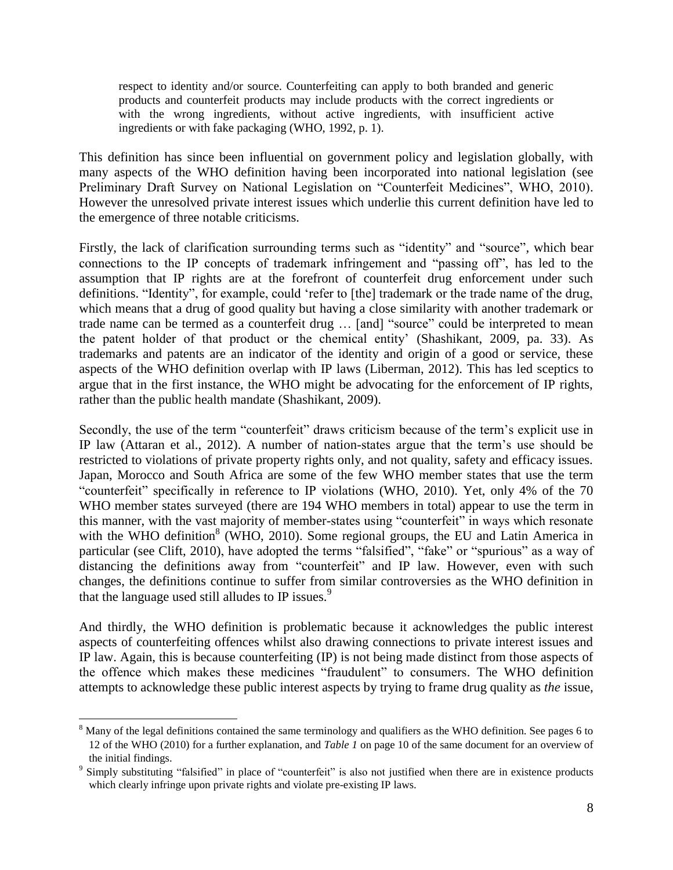respect to identity and/or source. Counterfeiting can apply to both branded and generic products and counterfeit products may include products with the correct ingredients or with the wrong ingredients, without active ingredients, with insufficient active ingredients or with fake packaging (WHO, 1992, p. 1).

This definition has since been influential on government policy and legislation globally, with many aspects of the WHO definition having been incorporated into national legislation (see Preliminary Draft Survey on National Legislation on "Counterfeit Medicines", WHO, 2010). However the unresolved private interest issues which underlie this current definition have led to the emergence of three notable criticisms.

Firstly, the lack of clarification surrounding terms such as "identity" and "source", which bear connections to the IP concepts of trademark infringement and "passing off", has led to the assumption that IP rights are at the forefront of counterfeit drug enforcement under such definitions. "Identity", for example, could 'refer to [the] trademark or the trade name of the drug, which means that a drug of good quality but having a close similarity with another trademark or trade name can be termed as a counterfeit drug … [and] "source" could be interpreted to mean the patent holder of that product or the chemical entity' (Shashikant, 2009, pa. 33). As trademarks and patents are an indicator of the identity and origin of a good or service, these aspects of the WHO definition overlap with IP laws (Liberman, 2012). This has led sceptics to argue that in the first instance, the WHO might be advocating for the enforcement of IP rights, rather than the public health mandate (Shashikant, 2009).

Secondly, the use of the term "counterfeit" draws criticism because of the term's explicit use in IP law (Attaran et al., 2012). A number of nation-states argue that the term's use should be restricted to violations of private property rights only, and not quality, safety and efficacy issues. Japan, Morocco and South Africa are some of the few WHO member states that use the term "counterfeit" specifically in reference to IP violations (WHO, 2010). Yet, only 4% of the 70 WHO member states surveyed (there are 194 WHO members in total) appear to use the term in this manner, with the vast majority of member-states using "counterfeit" in ways which resonate with the WHO definition<sup>8</sup> (WHO, 2010). Some regional groups, the EU and Latin America in particular (see Clift, 2010), have adopted the terms "falsified", "fake" or "spurious" as a way of distancing the definitions away from "counterfeit" and IP law. However, even with such changes, the definitions continue to suffer from similar controversies as the WHO definition in that the language used still alludes to IP issues. $\degree$ 

And thirdly, the WHO definition is problematic because it acknowledges the public interest aspects of counterfeiting offences whilst also drawing connections to private interest issues and IP law. Again, this is because counterfeiting (IP) is not being made distinct from those aspects of the offence which makes these medicines "fraudulent" to consumers. The WHO definition attempts to acknowledge these public interest aspects by trying to frame drug quality as *the* issue,

 $8$  Many of the legal definitions contained the same terminology and qualifiers as the WHO definition. See pages 6 to 12 of the WHO (2010) for a further explanation, and *Table 1* on page 10 of the same document for an overview of the initial findings.

<sup>&</sup>lt;sup>9</sup> Simply substituting "falsified" in place of "counterfeit" is also not justified when there are in existence products which clearly infringe upon private rights and violate pre-existing IP laws.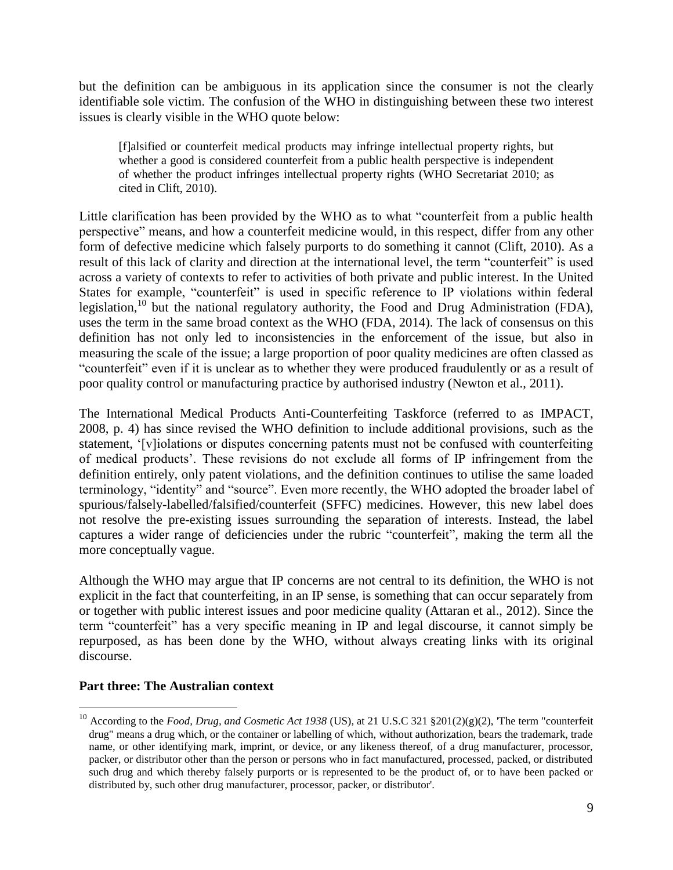but the definition can be ambiguous in its application since the consumer is not the clearly identifiable sole victim. The confusion of the WHO in distinguishing between these two interest issues is clearly visible in the WHO quote below:

[f]alsified or counterfeit medical products may infringe intellectual property rights, but whether a good is considered counterfeit from a public health perspective is independent of whether the product infringes intellectual property rights (WHO Secretariat 2010; as cited in Clift, 2010).

Little clarification has been provided by the WHO as to what "counterfeit from a public health perspective" means, and how a counterfeit medicine would, in this respect, differ from any other form of defective medicine which falsely purports to do something it cannot (Clift, 2010). As a result of this lack of clarity and direction at the international level, the term "counterfeit" is used across a variety of contexts to refer to activities of both private and public interest. In the United States for example, "counterfeit" is used in specific reference to IP violations within federal legislation,<sup>10</sup> but the national regulatory authority, the Food and Drug Administration (FDA), uses the term in the same broad context as the WHO (FDA, 2014). The lack of consensus on this definition has not only led to inconsistencies in the enforcement of the issue, but also in measuring the scale of the issue; a large proportion of poor quality medicines are often classed as "counterfeit" even if it is unclear as to whether they were produced fraudulently or as a result of poor quality control or manufacturing practice by authorised industry (Newton et al., 2011).

The International Medical Products Anti-Counterfeiting Taskforce (referred to as IMPACT, 2008, p. 4) has since revised the WHO definition to include additional provisions, such as the statement, '[v]iolations or disputes concerning patents must not be confused with counterfeiting of medical products'. These revisions do not exclude all forms of IP infringement from the definition entirely, only patent violations, and the definition continues to utilise the same loaded terminology, "identity" and "source". Even more recently, the WHO adopted the broader label of spurious/falsely-labelled/falsified/counterfeit (SFFC) medicines. However, this new label does not resolve the pre-existing issues surrounding the separation of interests. Instead, the label captures a wider range of deficiencies under the rubric "counterfeit", making the term all the more conceptually vague.

Although the WHO may argue that IP concerns are not central to its definition, the WHO is not explicit in the fact that counterfeiting, in an IP sense, is something that can occur separately from or together with public interest issues and poor medicine quality (Attaran et al., 2012). Since the term "counterfeit" has a very specific meaning in IP and legal discourse, it cannot simply be repurposed, as has been done by the WHO, without always creating links with its original discourse.

## **Part three: The Australian context**

l

<sup>10</sup> According to the *Food, Drug, and Cosmetic Act 1938* (US)*,* at 21 U.S.C 321 §201(2)(g)(2), 'The term "counterfeit drug" means a drug which, or the container or labelling of which, without authorization, bears the trademark, trade name, or other identifying mark, imprint, or device, or any likeness thereof, of a drug manufacturer, processor, packer, or distributor other than the person or persons who in fact manufactured, processed, packed, or distributed such drug and which thereby falsely purports or is represented to be the product of, or to have been packed or distributed by, such other drug manufacturer, processor, packer, or distributor'.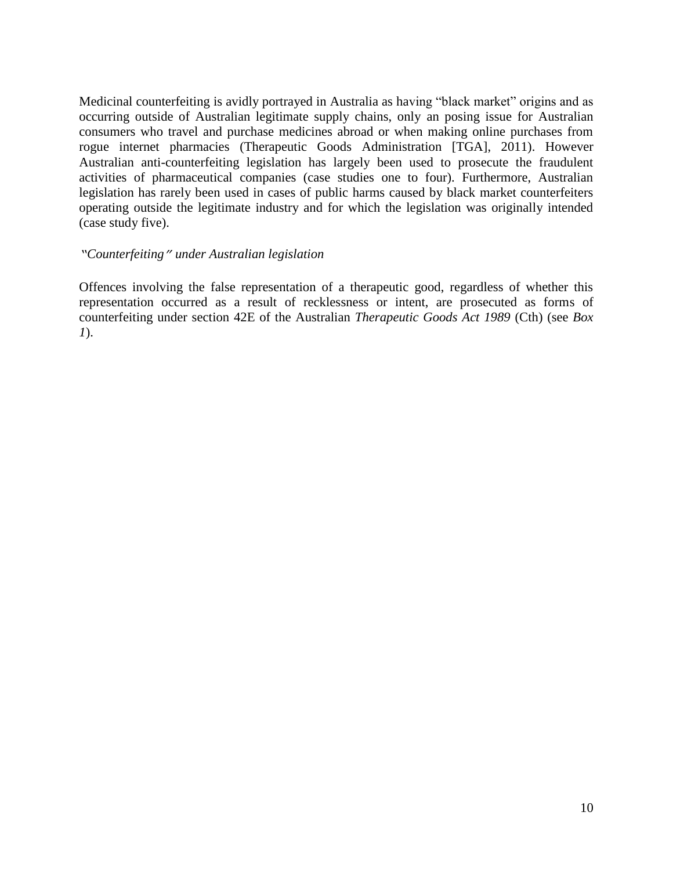Medicinal counterfeiting is avidly portrayed in Australia as having "black market" origins and as occurring outside of Australian legitimate supply chains, only an posing issue for Australian consumers who travel and purchase medicines abroad or when making online purchases from rogue internet pharmacies (Therapeutic Goods Administration [TGA], 2011). However Australian anti-counterfeiting legislation has largely been used to prosecute the fraudulent activities of pharmaceutical companies (case studies one to four). Furthermore, Australian legislation has rarely been used in cases of public harms caused by black market counterfeiters operating outside the legitimate industry and for which the legislation was originally intended (case study five).

#### *"Counterfeiting" under Australian legislation*

Offences involving the false representation of a therapeutic good, regardless of whether this representation occurred as a result of recklessness or intent, are prosecuted as forms of counterfeiting under section 42E of the Australian *Therapeutic Goods Act 1989* (Cth) (see *Box 1*).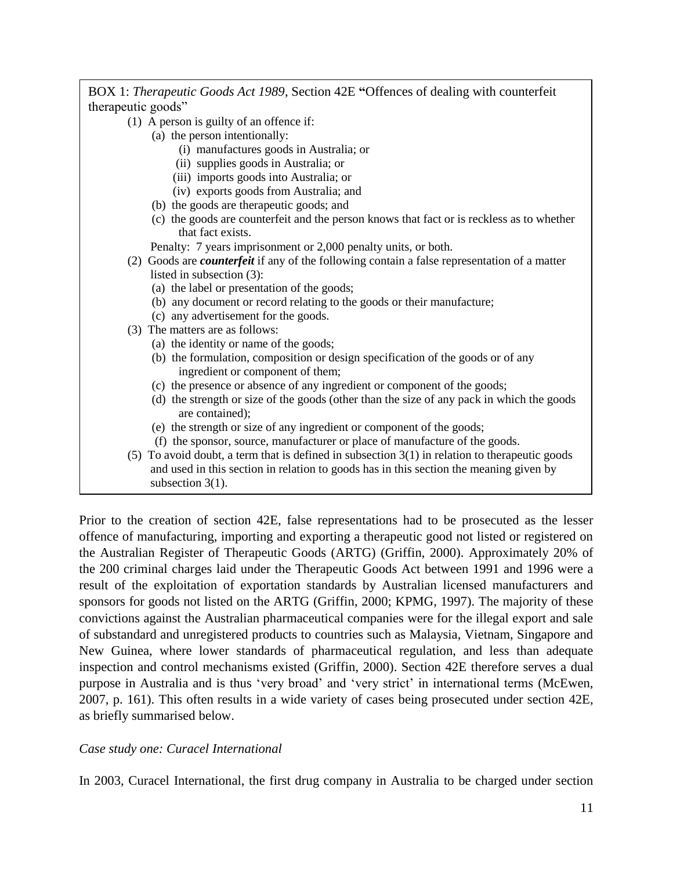| BOX 1: Therapeutic Goods Act 1989, Section 42E "Offences of dealing with counterfeit                                      |
|---------------------------------------------------------------------------------------------------------------------------|
| therapeutic goods"                                                                                                        |
| $(1)$ A person is guilty of an offence if:                                                                                |
| (a) the person intentionally:                                                                                             |
| (i) manufactures goods in Australia; or                                                                                   |
| (ii) supplies goods in Australia; or                                                                                      |
| (iii) imports goods into Australia; or                                                                                    |
| (iv) exports goods from Australia; and                                                                                    |
| (b) the goods are therapeutic goods; and                                                                                  |
| (c) the goods are counterfeit and the person knows that fact or is reckless as to whether                                 |
| that fact exists.                                                                                                         |
| Penalty: 7 years imprisonment or 2,000 penalty units, or both.                                                            |
| (2) Goods are <i>counterfeit</i> if any of the following contain a false representation of a matter                       |
| listed in subsection (3):                                                                                                 |
| (a) the label or presentation of the goods;                                                                               |
| (b) any document or record relating to the goods or their manufacture;<br>(c) any advertisement for the goods.            |
| (3) The matters are as follows:                                                                                           |
|                                                                                                                           |
| (a) the identity or name of the goods;<br>(b) the formulation, composition or design specification of the goods or of any |
| ingredient or component of them;                                                                                          |
| (c) the presence or absence of any ingredient or component of the goods;                                                  |
| (d) the strength or size of the goods (other than the size of any pack in which the goods                                 |
| are contained);                                                                                                           |
| (e) the strength or size of any ingredient or component of the goods;                                                     |
| (f) the sponsor, source, manufacturer or place of manufacture of the goods.                                               |
| $(5)$ To avoid doubt, a term that is defined in subsection $3(1)$ in relation to therapeutic goods                        |
| and used in this section in relation to goods has in this section the meaning given by                                    |
| subsection $3(1)$ .                                                                                                       |
|                                                                                                                           |

Prior to the creation of section 42E, false representations had to be prosecuted as the lesser offence of manufacturing, importing and exporting a therapeutic good not listed or registered on the Australian Register of Therapeutic Goods (ARTG) (Griffin, 2000). Approximately 20% of the 200 criminal charges laid under the Therapeutic Goods Act between 1991 and 1996 were a result of the exploitation of exportation standards by Australian licensed manufacturers and sponsors for goods not listed on the ARTG (Griffin, 2000; KPMG, 1997). The majority of these convictions against the Australian pharmaceutical companies were for the illegal export and sale of substandard and unregistered products to countries such as Malaysia, Vietnam, Singapore and New Guinea, where lower standards of pharmaceutical regulation, and less than adequate inspection and control mechanisms existed (Griffin, 2000). Section 42E therefore serves a dual purpose in Australia and is thus 'very broad' and 'very strict' in international terms (McEwen, 2007, p. 161). This often results in a wide variety of cases being prosecuted under section 42E, as briefly summarised below.

## *Case study one: Curacel International*

In 2003, Curacel International, the first drug company in Australia to be charged under section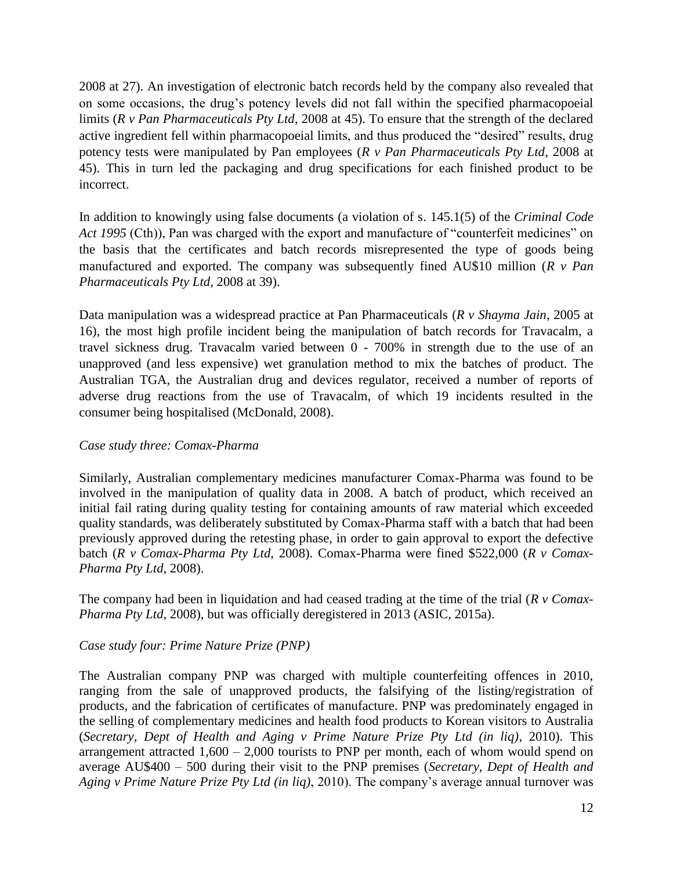2008 at 27). An investigation of electronic batch records held by the company also revealed that on some occasions, the drug's potency levels did not fall within the specified pharmacopoeial limits (*R v Pan Pharmaceuticals Pty Ltd*, 2008 at 45). To ensure that the strength of the declared active ingredient fell within pharmacopoeial limits, and thus produced the "desired" results, drug potency tests were manipulated by Pan employees (*R v Pan Pharmaceuticals Pty Ltd*, 2008 at 45). This in turn led the packaging and drug specifications for each finished product to be incorrect.

In addition to knowingly using false documents (a violation of s. 145.1(5) of the *Criminal Code Act 1995* (Cth)), Pan was charged with the export and manufacture of "counterfeit medicines" on the basis that the certificates and batch records misrepresented the type of goods being manufactured and exported. The company was subsequently fined AU\$10 million (*R v Pan Pharmaceuticals Pty Ltd*, 2008 at 39).

Data manipulation was a widespread practice at Pan Pharmaceuticals (*R v Shayma Jain*, 2005 at 16), the most high profile incident being the manipulation of batch records for Travacalm, a travel sickness drug. Travacalm varied between 0 - 700% in strength due to the use of an unapproved (and less expensive) wet granulation method to mix the batches of product. The Australian TGA, the Australian drug and devices regulator, received a number of reports of adverse drug reactions from the use of Travacalm, of which 19 incidents resulted in the consumer being hospitalised (McDonald, 2008).

## *Case study three: Comax-Pharma*

Similarly, Australian complementary medicines manufacturer Comax-Pharma was found to be involved in the manipulation of quality data in 2008. A batch of product, which received an initial fail rating during quality testing for containing amounts of raw material which exceeded quality standards, was deliberately substituted by Comax-Pharma staff with a batch that had been previously approved during the retesting phase, in order to gain approval to export the defective batch (*R v Comax-Pharma Pty Ltd*, 2008). Comax-Pharma were fined \$522,000 (*R v Comax-Pharma Pty Ltd*, 2008).

The company had been in liquidation and had ceased trading at the time of the trial (*R v Comax-Pharma Pty Ltd*, 2008), but was officially deregistered in 2013 (ASIC, 2015a).

## *Case study four: Prime Nature Prize (PNP)*

The Australian company PNP was charged with multiple counterfeiting offences in 2010, ranging from the sale of unapproved products, the falsifying of the listing/registration of products, and the fabrication of certificates of manufacture. PNP was predominately engaged in the selling of complementary medicines and health food products to Korean visitors to Australia (*Secretary, Dept of Health and Aging v Prime Nature Prize Pty Ltd (in liq)*, 2010). This arrangement attracted  $1,600 - 2,000$  tourists to PNP per month, each of whom would spend on average AU\$400 – 500 during their visit to the PNP premises (*Secretary, Dept of Health and Aging v Prime Nature Prize Pty Ltd (in liq)*, 2010). The company's average annual turnover was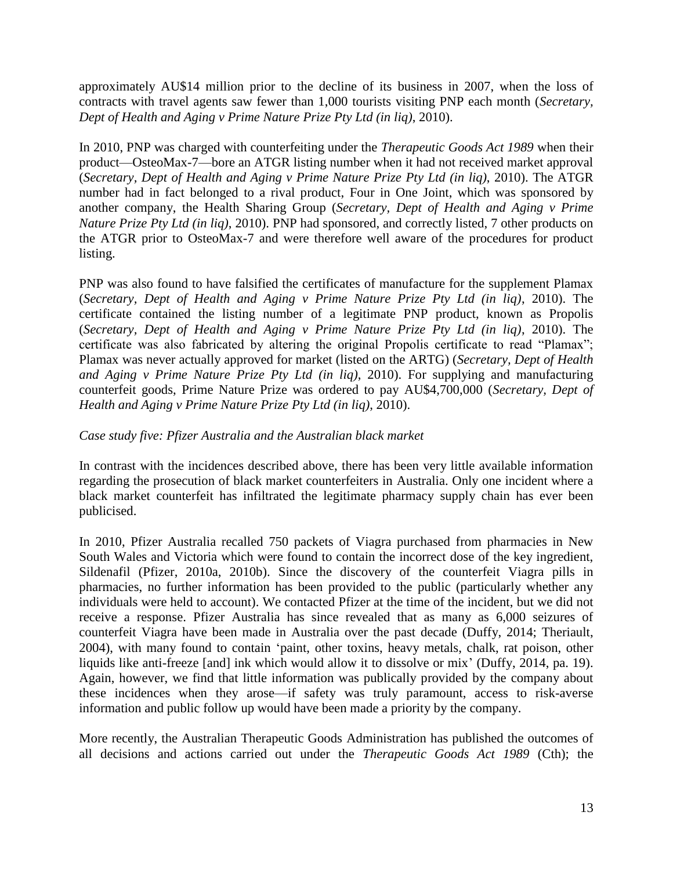approximately AU\$14 million prior to the decline of its business in 2007, when the loss of contracts with travel agents saw fewer than 1,000 tourists visiting PNP each month (*Secretary, Dept of Health and Aging v Prime Nature Prize Pty Ltd (in liq)*, 2010).

In 2010, PNP was charged with counterfeiting under the *Therapeutic Goods Act 1989* when their product—OsteoMax-7—bore an ATGR listing number when it had not received market approval (*Secretary, Dept of Health and Aging v Prime Nature Prize Pty Ltd (in liq)*, 2010). The ATGR number had in fact belonged to a rival product, Four in One Joint, which was sponsored by another company, the Health Sharing Group (*Secretary, Dept of Health and Aging v Prime Nature Prize Pty Ltd (in liq)*, 2010). PNP had sponsored, and correctly listed, 7 other products on the ATGR prior to OsteoMax-7 and were therefore well aware of the procedures for product listing.

PNP was also found to have falsified the certificates of manufacture for the supplement Plamax (*Secretary, Dept of Health and Aging v Prime Nature Prize Pty Ltd (in liq)*, 2010). The certificate contained the listing number of a legitimate PNP product, known as Propolis (*Secretary, Dept of Health and Aging v Prime Nature Prize Pty Ltd (in liq)*, 2010). The certificate was also fabricated by altering the original Propolis certificate to read "Plamax"; Plamax was never actually approved for market (listed on the ARTG) (*Secretary, Dept of Health and Aging v Prime Nature Prize Pty Ltd (in liq)*, 2010). For supplying and manufacturing counterfeit goods, Prime Nature Prize was ordered to pay AU\$4,700,000 (*Secretary, Dept of Health and Aging v Prime Nature Prize Pty Ltd (in liq)*, 2010).

### *Case study five: Pfizer Australia and the Australian black market*

In contrast with the incidences described above, there has been very little available information regarding the prosecution of black market counterfeiters in Australia. Only one incident where a black market counterfeit has infiltrated the legitimate pharmacy supply chain has ever been publicised.

In 2010, Pfizer Australia recalled 750 packets of Viagra purchased from pharmacies in New South Wales and Victoria which were found to contain the incorrect dose of the key ingredient, Sildenafil (Pfizer, 2010a, 2010b). Since the discovery of the counterfeit Viagra pills in pharmacies, no further information has been provided to the public (particularly whether any individuals were held to account). We contacted Pfizer at the time of the incident, but we did not receive a response. Pfizer Australia has since revealed that as many as 6,000 seizures of counterfeit Viagra have been made in Australia over the past decade (Duffy, 2014; Theriault, 2004), with many found to contain 'paint, other toxins, heavy metals, chalk, rat poison, other liquids like anti-freeze [and] ink which would allow it to dissolve or mix' (Duffy, 2014, pa. 19). Again, however, we find that little information was publically provided by the company about these incidences when they arose—if safety was truly paramount, access to risk-averse information and public follow up would have been made a priority by the company.

More recently, the Australian Therapeutic Goods Administration has published the outcomes of all decisions and actions carried out under the *Therapeutic Goods Act 1989* (Cth); the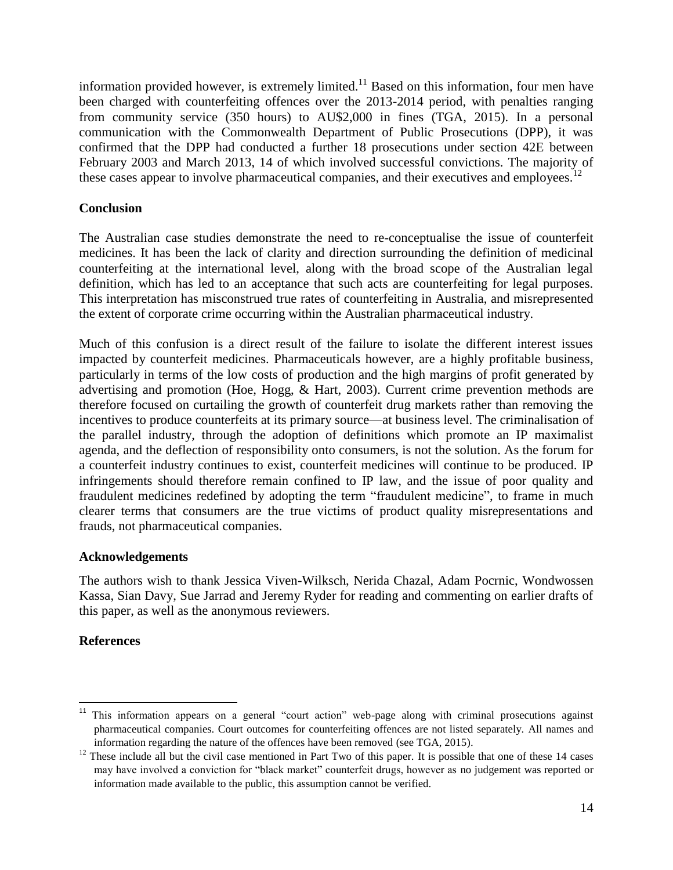information provided however, is extremely limited.<sup>11</sup> Based on this information, four men have been charged with counterfeiting offences over the 2013-2014 period, with penalties ranging from community service (350 hours) to AU\$2,000 in fines (TGA, 2015). In a personal communication with the Commonwealth Department of Public Prosecutions (DPP), it was confirmed that the DPP had conducted a further 18 prosecutions under section 42E between February 2003 and March 2013, 14 of which involved successful convictions. The majority of these cases appear to involve pharmaceutical companies, and their executives and employees.<sup>12</sup>

## **Conclusion**

The Australian case studies demonstrate the need to re-conceptualise the issue of counterfeit medicines. It has been the lack of clarity and direction surrounding the definition of medicinal counterfeiting at the international level, along with the broad scope of the Australian legal definition, which has led to an acceptance that such acts are counterfeiting for legal purposes. This interpretation has misconstrued true rates of counterfeiting in Australia, and misrepresented the extent of corporate crime occurring within the Australian pharmaceutical industry.

Much of this confusion is a direct result of the failure to isolate the different interest issues impacted by counterfeit medicines. Pharmaceuticals however, are a highly profitable business, particularly in terms of the low costs of production and the high margins of profit generated by advertising and promotion (Hoe, Hogg, & Hart, 2003). Current crime prevention methods are therefore focused on curtailing the growth of counterfeit drug markets rather than removing the incentives to produce counterfeits at its primary source—at business level. The criminalisation of the parallel industry, through the adoption of definitions which promote an IP maximalist agenda, and the deflection of responsibility onto consumers, is not the solution. As the forum for a counterfeit industry continues to exist, counterfeit medicines will continue to be produced. IP infringements should therefore remain confined to IP law, and the issue of poor quality and fraudulent medicines redefined by adopting the term "fraudulent medicine", to frame in much clearer terms that consumers are the true victims of product quality misrepresentations and frauds, not pharmaceutical companies.

## **Acknowledgements**

The authors wish to thank Jessica Viven-Wilksch, Nerida Chazal, Adam Pocrnic, Wondwossen Kassa, Sian Davy, Sue Jarrad and Jeremy Ryder for reading and commenting on earlier drafts of this paper, as well as the anonymous reviewers.

## **References**

<sup>&</sup>lt;sup>11</sup> This information appears on a general "court action" web-page along with criminal prosecutions against pharmaceutical companies. Court outcomes for counterfeiting offences are not listed separately. All names and information regarding the nature of the offences have been removed (see TGA, 2015).

<sup>&</sup>lt;sup>12</sup> These include all but the civil case mentioned in Part Two of this paper. It is possible that one of these 14 cases may have involved a conviction for "black market" counterfeit drugs, however as no judgement was reported or information made available to the public, this assumption cannot be verified.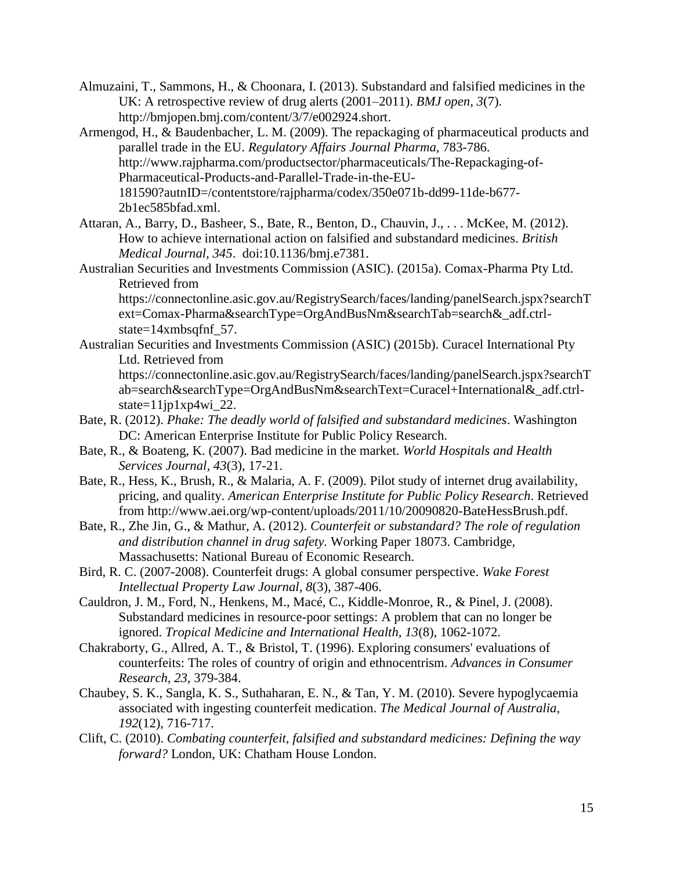- Almuzaini, T., Sammons, H., & Choonara, I. (2013). Substandard and falsified medicines in the UK: A retrospective review of drug alerts (2001–2011). *BMJ open, 3*(7). http://bmjopen.bmj.com/content/3/7/e002924.short.
- Armengod, H., & Baudenbacher, L. M. (2009). The repackaging of pharmaceutical products and parallel trade in the EU. *Regulatory Affairs Journal Pharma*, 783-786. http://www.rajpharma.com/productsector/pharmaceuticals/The-Repackaging-of-Pharmaceutical-Products-and-Parallel-Trade-in-the-EU-181590?autnID=/contentstore/rajpharma/codex/350e071b-dd99-11de-b677- 2b1ec585bfad.xml.
- Attaran, A., Barry, D., Basheer, S., Bate, R., Benton, D., Chauvin, J., . . . McKee, M. (2012). How to achieve international action on falsified and substandard medicines. *British Medical Journal, 345*. doi:10.1136/bmj.e7381.
- Australian Securities and Investments Commission (ASIC). (2015a). Comax-Pharma Pty Ltd. Retrieved from

https://connectonline.asic.gov.au/RegistrySearch/faces/landing/panelSearch.jspx?searchT ext=Comax-Pharma&searchType=OrgAndBusNm&searchTab=search&\_adf.ctrlstate=14xmbsqfnf 57.

Australian Securities and Investments Commission (ASIC) (2015b). Curacel International Pty Ltd. Retrieved from

https://connectonline.asic.gov.au/RegistrySearch/faces/landing/panelSearch.jspx?searchT ab=search&searchType=OrgAndBusNm&searchText=Curacel+International&\_adf.ctrlstate=11jp1xp4wi 22.

- Bate, R. (2012). *Phake: The deadly world of falsified and substandard medicines*. Washington DC: American Enterprise Institute for Public Policy Research.
- Bate, R., & Boateng, K. (2007). Bad medicine in the market. *World Hospitals and Health Services Journal, 43*(3), 17-21.
- Bate, R., Hess, K., Brush, R., & Malaria, A. F. (2009). Pilot study of internet drug availability, pricing, and quality. *American Enterprise Institute for Public Policy Research*. Retrieved from http://www.aei.org/wp-content/uploads/2011/10/20090820-BateHessBrush.pdf.
- Bate, R., Zhe Jin, G., & Mathur, A. (2012). *Counterfeit or substandard? The role of regulation and distribution channel in drug safety.* Working Paper 18073. Cambridge, Massachusetts: National Bureau of Economic Research.
- Bird, R. C. (2007-2008). Counterfeit drugs: A global consumer perspective. *Wake Forest Intellectual Property Law Journal, 8*(3), 387-406.
- Cauldron, J. M., Ford, N., Henkens, M., Macé, C., Kiddle-Monroe, R., & Pinel, J. (2008). Substandard medicines in resource-poor settings: A problem that can no longer be ignored. *Tropical Medicine and International Health, 13*(8), 1062-1072.
- Chakraborty, G., Allred, A. T., & Bristol, T. (1996). Exploring consumers' evaluations of counterfeits: The roles of country of origin and ethnocentrism. *Advances in Consumer Research, 23*, 379-384.
- Chaubey, S. K., Sangla, K. S., Suthaharan, E. N., & Tan, Y. M. (2010). Severe hypoglycaemia associated with ingesting counterfeit medication. *The Medical Journal of Australia, 192*(12), 716-717.
- Clift, C. (2010). *Combating counterfeit, falsified and substandard medicines: Defining the way forward?* London, UK: Chatham House London.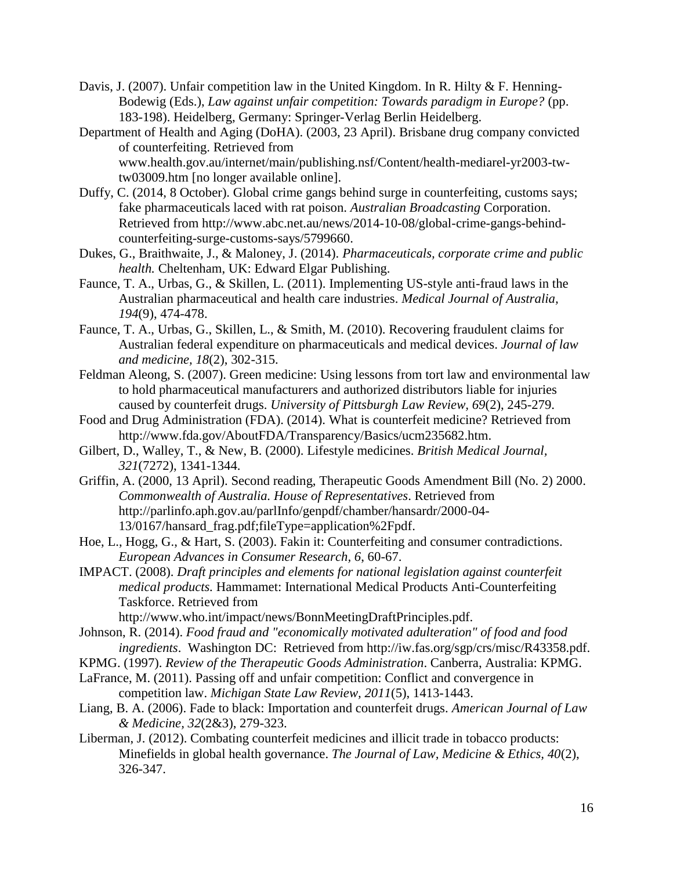- Davis, J. (2007). Unfair competition law in the United Kingdom. In R. Hilty & F. Henning-Bodewig (Eds.), *Law against unfair competition: Towards paradigm in Europe?* (pp. 183-198). Heidelberg, Germany: Springer-Verlag Berlin Heidelberg.
- Department of Health and Aging (DoHA). (2003, 23 April). Brisbane drug company convicted of counterfeiting. Retrieved from www.health.gov.au/internet/main/publishing.nsf/Content/health-mediarel-yr2003-twtw03009.htm [no longer available online].
- Duffy, C. (2014, 8 October). Global crime gangs behind surge in counterfeiting, customs says; fake pharmaceuticals laced with rat poison. *Australian Broadcasting* Corporation. Retrieved from http://www.abc.net.au/news/2014-10-08/global-crime-gangs-behindcounterfeiting-surge-customs-says/5799660.
- Dukes, G., Braithwaite, J., & Maloney, J. (2014). *Pharmaceuticals, corporate crime and public health.* Cheltenham, UK: Edward Elgar Publishing.
- Faunce, T. A., Urbas, G., & Skillen, L. (2011). Implementing US-style anti-fraud laws in the Australian pharmaceutical and health care industries. *Medical Journal of Australia, 194*(9), 474-478.
- Faunce, T. A., Urbas, G., Skillen, L., & Smith, M. (2010). Recovering fraudulent claims for Australian federal expenditure on pharmaceuticals and medical devices. *Journal of law and medicine, 18*(2), 302-315.
- Feldman Aleong, S. (2007). Green medicine: Using lessons from tort law and environmental law to hold pharmaceutical manufacturers and authorized distributors liable for injuries caused by counterfeit drugs. *University of Pittsburgh Law Review, 69*(2), 245-279.
- Food and Drug Administration (FDA). (2014). What is counterfeit medicine? Retrieved from http://www.fda.gov/AboutFDA/Transparency/Basics/ucm235682.htm.
- Gilbert, D., Walley, T., & New, B. (2000). Lifestyle medicines. *British Medical Journal, 321*(7272), 1341-1344.
- Griffin, A. (2000, 13 April). Second reading, Therapeutic Goods Amendment Bill (No. 2) 2000. *Commonwealth of Australia. House of Representatives*. Retrieved from http://parlinfo.aph.gov.au/parlInfo/genpdf/chamber/hansardr/2000-04- 13/0167/hansard\_frag.pdf;fileType=application%2Fpdf.
- Hoe, L., Hogg, G., & Hart, S. (2003). Fakin it: Counterfeiting and consumer contradictions. *European Advances in Consumer Research, 6*, 60-67.
- IMPACT. (2008). *Draft principles and elements for national legislation against counterfeit medical products.* Hammamet: International Medical Products Anti-Counterfeiting Taskforce. Retrieved from

http://www.who.int/impact/news/BonnMeetingDraftPrinciples.pdf.

- Johnson, R. (2014). *Food fraud and "economically motivated adulteration" of food and food ingredients*. Washington DC: Retrieved from http://iw.fas.org/sgp/crs/misc/R43358.pdf.
- KPMG. (1997). *Review of the Therapeutic Goods Administration*. Canberra, Australia: KPMG.
- LaFrance, M. (2011). Passing off and unfair competition: Conflict and convergence in competition law. *Michigan State Law Review, 2011*(5), 1413-1443.
- Liang, B. A. (2006). Fade to black: Importation and counterfeit drugs. *American Journal of Law & Medicine, 32*(2&3), 279-323.
- Liberman, J. (2012). Combating counterfeit medicines and illicit trade in tobacco products: Minefields in global health governance. *The Journal of Law, Medicine & Ethics, 40*(2), 326-347.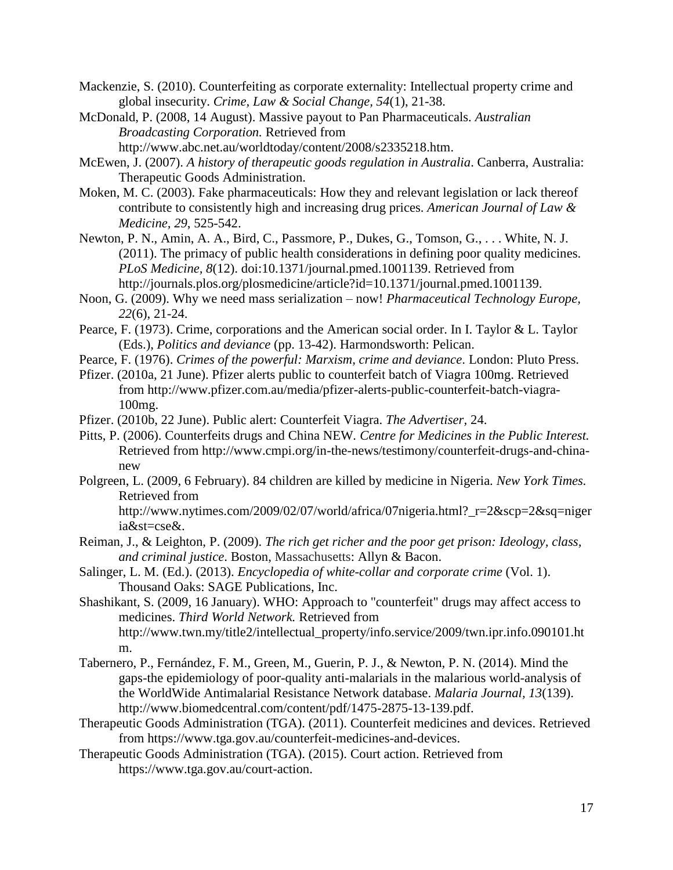- Mackenzie, S. (2010). Counterfeiting as corporate externality: Intellectual property crime and global insecurity. *Crime, Law & Social Change, 54*(1), 21-38.
- McDonald, P. (2008, 14 August). Massive payout to Pan Pharmaceuticals. *Australian Broadcasting Corporation.* Retrieved from http://www.abc.net.au/worldtoday/content/2008/s2335218.htm.
- McEwen, J. (2007). *A history of therapeutic goods regulation in Australia*. Canberra, Australia: Therapeutic Goods Administration.
- Moken, M. C. (2003). Fake pharmaceuticals: How they and relevant legislation or lack thereof contribute to consistently high and increasing drug prices. *American Journal of Law & Medicine, 29*, 525-542.
- Newton, P. N., Amin, A. A., Bird, C., Passmore, P., Dukes, G., Tomson, G., . . . White, N. J. (2011). The primacy of public health considerations in defining poor quality medicines. *PLoS Medicine, 8*(12). doi:10.1371/journal.pmed.1001139. Retrieved from http://journals.plos.org/plosmedicine/article?id=10.1371/journal.pmed.1001139.
- Noon, G. (2009). Why we need mass serialization now! *Pharmaceutical Technology Europe, 22*(6), 21-24.
- Pearce, F. (1973). Crime, corporations and the American social order. In I. Taylor & L. Taylor (Eds.), *Politics and deviance* (pp. 13-42). Harmondsworth: Pelican.
- Pearce, F. (1976). *Crimes of the powerful: Marxism, crime and deviance*. London: Pluto Press.
- Pfizer. (2010a, 21 June). Pfizer alerts public to counterfeit batch of Viagra 100mg. Retrieved from http://www.pfizer.com.au/media/pfizer-alerts-public-counterfeit-batch-viagra-100mg.
- Pfizer. (2010b, 22 June). Public alert: Counterfeit Viagra. *The Advertiser,* 24.
- Pitts, P. (2006). Counterfeits drugs and China NEW*. Centre for Medicines in the Public Interest.*  Retrieved from http://www.cmpi.org/in-the-news/testimony/counterfeit-drugs-and-chinanew
- Polgreen, L. (2009, 6 February). 84 children are killed by medicine in Nigeria. *New York Times.*  Retrieved from

http://www.nytimes.com/2009/02/07/world/africa/07nigeria.html?\_r=2&scp=2&sq=niger ia&st=cse&.

- Reiman, J., & Leighton, P. (2009). *The rich get richer and the poor get prison: Ideology, class, and criminal justice*. Boston, Massachusetts: Allyn & Bacon.
- Salinger, L. M. (Ed.). (2013). *Encyclopedia of white-collar and corporate crime* (Vol. 1). Thousand Oaks: SAGE Publications, Inc.
- Shashikant, S. (2009, 16 January). WHO: Approach to "counterfeit" drugs may affect access to medicines. *Third World Network.* Retrieved from http://www.twn.my/title2/intellectual\_property/info.service/2009/twn.ipr.info.090101.ht m.
- Tabernero, P., Fernández, F. M., Green, M., Guerin, P. J., & Newton, P. N. (2014). Mind the gaps-the epidemiology of poor-quality anti-malarials in the malarious world-analysis of the WorldWide Antimalarial Resistance Network database. *Malaria Journal, 13*(139). http://www.biomedcentral.com/content/pdf/1475-2875-13-139.pdf.
- Therapeutic Goods Administration (TGA). (2011). Counterfeit medicines and devices. Retrieved from https://www.tga.gov.au/counterfeit-medicines-and-devices.
- Therapeutic Goods Administration (TGA). (2015). Court action. Retrieved from https://www.tga.gov.au/court-action.